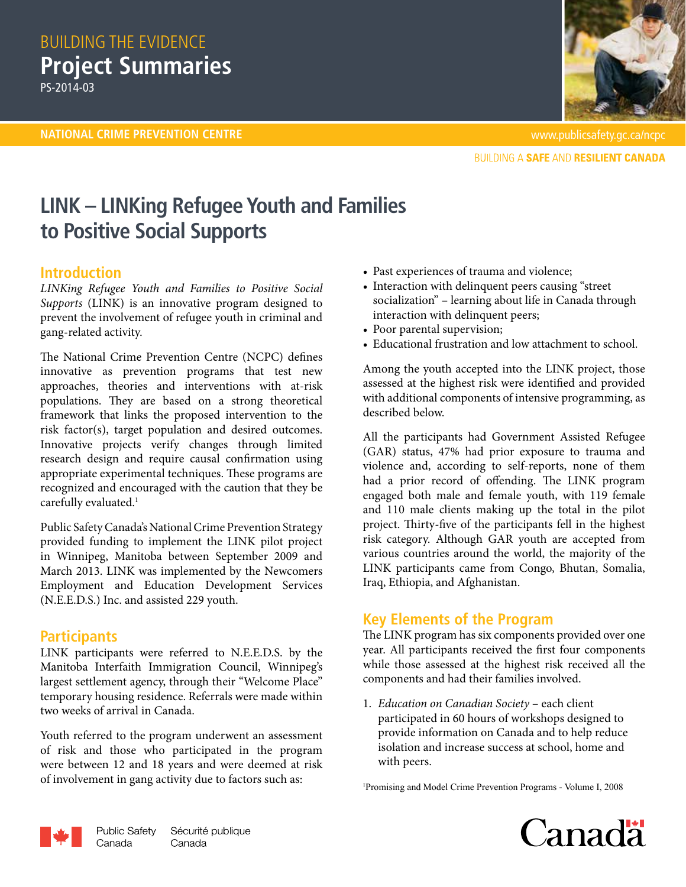## BUILDING THE EVIDENCE **Project Summaries** PS-2014-03

**NATIONAL CRIME PREVENTION CENTRE** www.publicsafety.gc.ca/ncpc



**BUILDING A SAFE AND RESILIENT CANADA** 

# **LINK – LINKing Refugee Youth and Families to Positive Social Supports**

#### **Introduction**

*LINKing Refugee Youth and Families to Positive Social Supports* (LINK) is an innovative program designed to prevent the involvement of refugee youth in criminal and gang-related activity.

The National Crime Prevention Centre (NCPC) defines innovative as prevention programs that test new approaches, theories and interventions with at-risk populations. They are based on a strong theoretical framework that links the proposed intervention to the risk factor(s), target population and desired outcomes. Innovative projects verify changes through limited research design and require causal confirmation using appropriate experimental techniques. These programs are recognized and encouraged with the caution that they be carefully evaluated.<sup>1</sup>

[Public Safety Canada's National Crime Prevention Strategy](http://www.publicsafety.gc.ca/cnt/cntrng-crm/crm-prvntn/index-eng.aspx)  provided funding to implement the LINK pilot project in Winnipeg, Manitoba between September 2009 and March 2013. LINK was implemented by the [Newcomers](http://www.needsinc.ca/about-us/index.html) [Employment and Education Development Services](http://www.needsinc.ca/about-us/index.html) [\(N.E.E.D.S.\)](http://www.needsinc.ca/about-us/index.html) Inc. and assisted 229 youth.

#### **Participants**

LINK participants were referred to N.E.E.D.S. by the [Manitoba Interfaith Immigration Council](http://www.miic.ca/), Winnipeg's largest settlement agency, through their "Welcome Place" temporary housing residence. Referrals were made within two weeks of arrival in Canada.

Youth referred to the program underwent an assessment of risk and those who participated in the program were between 12 and 18 years and were deemed at risk of involvement in gang activity due to factors such as:

- Past experiences of trauma and violence;
- Interaction with delinquent peers causing "street socialization" – learning about life in Canada through interaction with delinquent peers;
- Poor parental supervision;
- Educational frustration and low attachment to school.

Among the youth accepted into the LINK project, those assessed at the highest risk were identified and provided with additional components of intensive programming, as described below.

All the participants had Government Assisted Refugee (GAR) status, 47% had prior exposure to trauma and violence and, according to self-reports, none of them had a prior record of offending. The LINK program engaged both male and female youth, with 119 female and 110 male clients making up the total in the pilot project. Thirty-five of the participants fell in the highest risk category. Although GAR youth are accepted from various countries around the world, the majority of the LINK participants came from Congo, Bhutan, Somalia, Iraq, Ethiopia, and Afghanistan.

## **Key Elements of the Program**

The LINK program has six components provided over one year. All participants received the first four components while those assessed at the highest risk received all the components and had their families involved.

1. *Education on Canadian Society* – each client participated in 60 hours of workshops designed to provide information on Canada and to help reduce isolation and increase success at school, home and with peers.

1 [Promising and Model Crime Prevention Programs - Volume I, 2008](http://www.publicsafety.gc.ca/cnt/rsrcs/pblctns/prmsng-mdl-vlm1/index-eng.aspx)



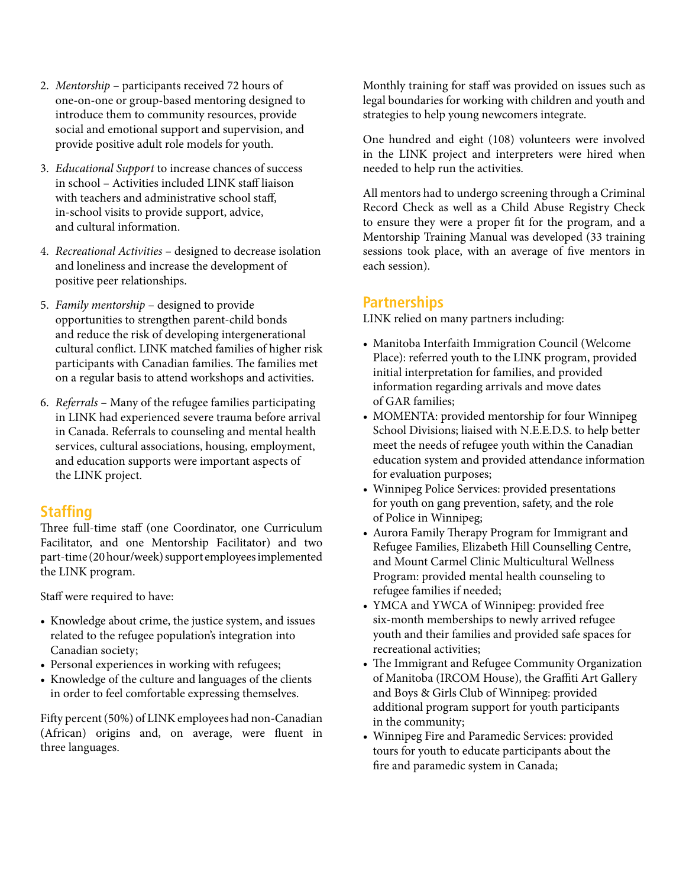- 2. *Mentorship* participants received 72 hours of one-on-one or group-based mentoring designed to introduce them to community resources, provide social and emotional support and supervision, and provide positive adult role models for youth.
- 3. *Educational Support* to increase chances of success in school – Activities included LINK staff liaison with teachers and administrative school staff, in-school visits to provide support, advice, and cultural information.
- 4. *Recreational Activities*  designed to decrease isolation and loneliness and increase the development of positive peer relationships.
- 5. *Family mentorship* designed to provide opportunities to strengthen parent-child bonds and reduce the risk of developing intergenerational cultural conflict. LINK matched families of higher risk participants with Canadian families. The families met on a regular basis to attend workshops and activities.
- 6. *Referrals* Many of the refugee families participating in LINK had experienced severe trauma before arrival in Canada. Referrals to counseling and mental health services, cultural associations, housing, employment, and education supports were important aspects of the LINK project.

#### **Staffing**

Three full-time staff (one Coordinator, one Curriculum Facilitator, and one Mentorship Facilitator) and two part-time (20 hour/week) support employees implemented the LINK program.

Staff were required to have:

- Knowledge about crime, the justice system, and issues related to the refugee population's integration into Canadian society;
- Personal experiences in working with refugees;
- Knowledge of the culture and languages of the clients in order to feel comfortable expressing themselves.

Fifty percent (50%) of LINK employees had non-Canadian (African) origins and, on average, were fluent in three languages.

Monthly training for staff was provided on issues such as legal boundaries for working with children and youth and strategies to help young newcomers integrate.

One hundred and eight (108) volunteers were involved in the LINK project and interpreters were hired when needed to help run the activities.

All mentors had to undergo screening through a Criminal Record Check as well as a Child Abuse Registry Check to ensure they were a proper fit for the program, and a Mentorship Training Manual was developed (33 training sessions took place, with an average of five mentors in each session).

#### **Partnerships**

LINK relied on many partners including:

- Manitoba Interfaith Immigration Council (Welcome Place): referred youth to the LINK program, provided initial interpretation for families, and provided information regarding arrivals and move dates of GAR families;
- MOMENTA: provided mentorship for four Winnipeg School Divisions; liaised with N.E.E.D.S. to help better meet the needs of refugee youth within the Canadian education system and provided attendance information for evaluation purposes;
- Winnipeg Police Services: provided presentations for youth on gang prevention, safety, and the role of Police in Winnipeg;
- Aurora Family Therapy Program for Immigrant and Refugee Families, Elizabeth Hill Counselling Centre, and Mount Carmel Clinic Multicultural Wellness Program: provided mental health counseling to refugee families if needed;
- YMCA and YWCA of Winnipeg: provided free six-month memberships to newly arrived refugee youth and their families and provided safe spaces for recreational activities;
- The Immigrant and Refugee Community Organization of Manitoba (IRCOM House), the Graffiti Art Gallery and Boys & Girls Club of Winnipeg: provided additional program support for youth participants in the community;
- Winnipeg Fire and Paramedic Services: provided tours for youth to educate participants about the fire and paramedic system in Canada;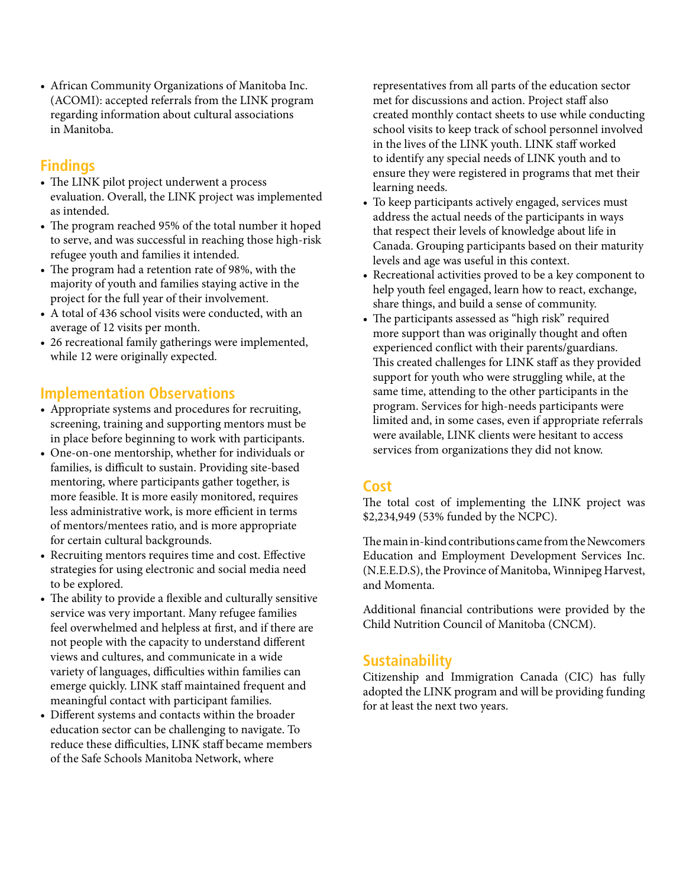• African Community Organizations of Manitoba Inc. (ACOMI): accepted referrals from the LINK program regarding information about cultural associations in Manitoba.

## **Findings**

- The LINK pilot project underwent a process evaluation. Overall, the LINK project was implemented as intended.
- The program reached 95% of the total number it hoped to serve, and was successful in reaching those high-risk refugee youth and families it intended.
- The program had a retention rate of 98%, with the majority of youth and families staying active in the project for the full year of their involvement.
- A total of 436 school visits were conducted, with an average of 12 visits per month.
- 26 recreational family gatherings were implemented, while 12 were originally expected.

## **Implementation Observations**

- Appropriate systems and procedures for recruiting, screening, training and supporting mentors must be in place before beginning to work with participants.
- One-on-one mentorship, whether for individuals or families, is difficult to sustain. Providing site-based mentoring, where participants gather together, is more feasible. It is more easily monitored, requires less administrative work, is more efficient in terms of mentors/mentees ratio, and is more appropriate for certain cultural backgrounds.
- Recruiting mentors requires time and cost. Effective strategies for using electronic and social media need to be explored.
- The ability to provide a flexible and culturally sensitive service was very important. Many refugee families feel overwhelmed and helpless at first, and if there are not people with the capacity to understand different views and cultures, and communicate in a wide variety of languages, difficulties within families can emerge quickly. LINK staff maintained frequent and meaningful contact with participant families.
- Different systems and contacts within the broader education sector can be challenging to navigate. To reduce these difficulties, LINK staff became members of the Safe Schools Manitoba Network, where

representatives from all parts of the education sector met for discussions and action. Project staff also created monthly contact sheets to use while conducting school visits to keep track of school personnel involved in the lives of the LINK youth. LINK staff worked to identify any special needs of LINK youth and to ensure they were registered in programs that met their learning needs.

- To keep participants actively engaged, services must address the actual needs of the participants in ways that respect their levels of knowledge about life in Canada. Grouping participants based on their maturity levels and age was useful in this context.
- Recreational activities proved to be a key component to help youth feel engaged, learn how to react, exchange, share things, and build a sense of community.
- The participants assessed as "high risk" required more support than was originally thought and often experienced conflict with their parents/guardians. This created challenges for LINK staff as they provided support for youth who were struggling while, at the same time, attending to the other participants in the program. Services for high-needs participants were limited and, in some cases, even if appropriate referrals were available, LINK clients were hesitant to access services from organizations they did not know.

#### **Cost**

The total cost of implementing the LINK project was \$2,234,949 (53% funded by the NCPC).

The main in-kind contributions came from the Newcomers Education and Employment Development Services Inc. (N.E.E.D.S), the Province of Manitoba, Winnipeg Harvest, and Momenta.

Additional financial contributions were provided by the Child Nutrition Council of Manitoba (CNCM).

## **Sustainability**

Citizenship and Immigration Canada (CIC) has fully adopted the LINK program and will be providing funding for at least the next two years.